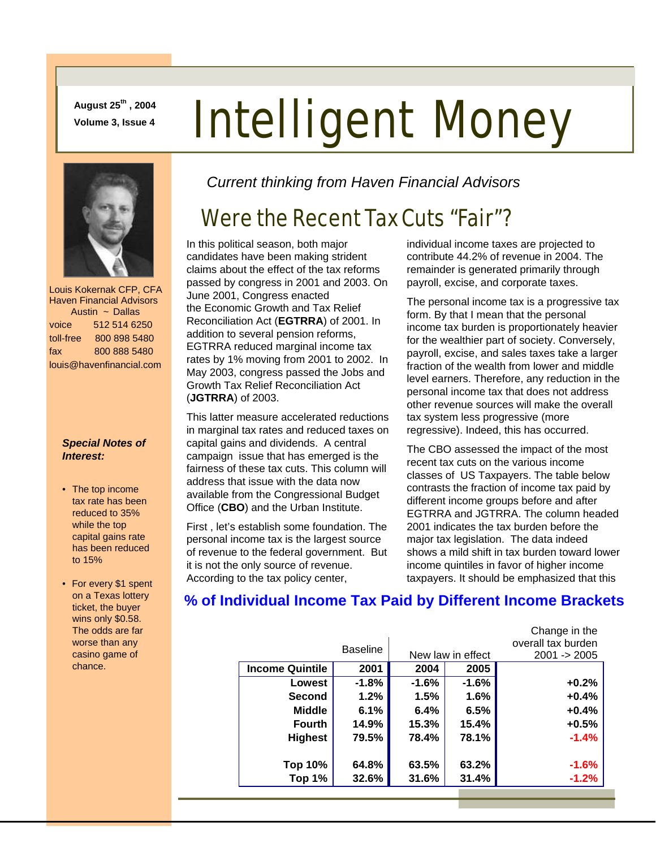**August 25th , 2004** 

# August 25<sup>th</sup>, 2004<br>Volume 3, Issue 4 **Intelligent Money**



 Louis Kokernak CFP, CFA Haven Financial Advisors Austin ~ Dallas voice 512 514 6250 toll-free 800 898 5480 fax 800 888 5480 louis@havenfinancial.com

#### *Special Notes of Interest:*

- The top income tax rate has been reduced to 35% while the top capital gains rate has been reduced to 15%
- For every \$1 spent on a Texas lottery ticket, the buyer wins only \$0.58. The odds are far worse than any casino game of chance.

*Current thinking from Haven Financial Advisors* 

# Were the Recent Tax Cuts "Fair"?

In this political season, both major candidates have been making strident claims about the effect of the tax reforms passed by congress in 2001 and 2003. On June 2001, Congress enacted the Economic Growth and Tax Relief Reconciliation Act (**EGTRRA**) of 2001. In addition to several pension reforms, EGTRRA reduced marginal income tax rates by 1% moving from 2001 to 2002. In May 2003, congress passed the Jobs and Growth Tax Relief Reconciliation Act (**JGTRRA**) of 2003.

This latter measure accelerated reductions in marginal tax rates and reduced taxes on capital gains and dividends. A central campaign issue that has emerged is the fairness of these tax cuts. This column will address that issue with the data now available from the Congressional Budget Office (**CBO**) and the Urban Institute.

First , let's establish some foundation. The personal income tax is the largest source of revenue to the federal government. But it is not the only source of revenue. According to the tax policy center,

individual income taxes are projected to contribute 44.2% of revenue in 2004. The remainder is generated primarily through payroll, excise, and corporate taxes.

The personal income tax is a progressive tax form. By that I mean that the personal income tax burden is proportionately heavier for the wealthier part of society. Conversely, payroll, excise, and sales taxes take a larger fraction of the wealth from lower and middle level earners. Therefore, any reduction in the personal income tax that does not address other revenue sources will make the overall tax system less progressive (more regressive). Indeed, this has occurred.

The CBO assessed the impact of the most recent tax cuts on the various income classes of US Taxpayers. The table below contrasts the fraction of income tax paid by different income groups before and after EGTRRA and JGTRRA. The column headed 2001 indicates the tax burden before the major tax legislation. The data indeed shows a mild shift in tax burden toward lower income quintiles in favor of higher income taxpayers. It should be emphasized that this

Change in the

#### **% of Individual Income Tax Paid by Different Income Brackets**

|                        |                 |                   |         | <b>UNGINUMITY</b>  |
|------------------------|-----------------|-------------------|---------|--------------------|
|                        | <b>Baseline</b> |                   |         | overall tax burden |
|                        |                 | New law in effect |         | $2001 - 2005$      |
| <b>Income Quintile</b> | 2001            | 2004              | 2005    |                    |
| Lowest                 | $-1.8%$         | $-1.6%$           | $-1.6%$ | $+0.2%$            |
| <b>Second</b>          | $1.2\%$         | 1.5%              | 1.6%    | $+0.4%$            |
| <b>Middle</b>          | 6.1%            | 6.4%              | 6.5%    | $+0.4%$            |
| <b>Fourth</b>          | 14.9%           | 15.3%             | 15.4%   | $+0.5%$            |
| <b>Highest</b>         | 79.5%           | 78.4%             | 78.1%   | $-1.4%$            |
|                        |                 |                   |         |                    |
| Top 10%                | 64.8%           | 63.5%             | 63.2%   | $-1.6%$            |
| Top 1%                 | 32.6%           | 31.6%             | 31.4%   | $-1.2%$            |
|                        |                 |                   |         |                    |